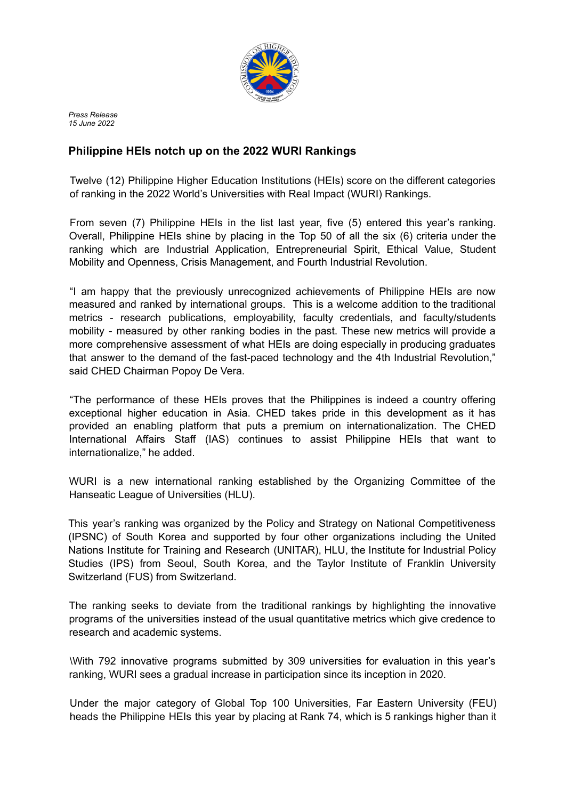

*Press Release 15 June 2022*

## **Philippine HEIs notch up on the 2022 WURI Rankings**

Twelve (12) Philippine Higher Education Institutions (HEIs) score on the different categories of ranking in the 2022 World's Universities with Real Impact (WURI) Rankings.

From seven (7) Philippine HEIs in the list last year, five (5) entered this year's ranking. Overall, Philippine HEIs shine by placing in the Top 50 of all the six (6) criteria under the ranking which are Industrial Application, Entrepreneurial Spirit, Ethical Value, Student Mobility and Openness, Crisis Management, and Fourth Industrial Revolution.

"I am happy that the previously unrecognized achievements of Philippine HEIs are now measured and ranked by international groups. This is a welcome addition to the traditional metrics - research publications, employability, faculty credentials, and faculty/students mobility - measured by other ranking bodies in the past. These new metrics will provide a more comprehensive assessment of what HEIs are doing especially in producing graduates that answer to the demand of the fast-paced technology and the 4th Industrial Revolution," said CHED Chairman Popoy De Vera.

"The performance of these HEIs proves that the Philippines is indeed a country offering exceptional higher education in Asia. CHED takes pride in this development as it has provided an enabling platform that puts a premium on internationalization. The CHED International Affairs Staff (IAS) continues to assist Philippine HEIs that want to internationalize," he added.

WURI is a new international ranking established by the Organizing Committee of the Hanseatic League of Universities (HLU).

This year's ranking was organized by the Policy and Strategy on National Competitiveness (IPSNC) of South Korea and supported by four other organizations including the United Nations Institute for Training and Research (UNITAR), HLU, the Institute for Industrial Policy Studies (IPS) from Seoul, South Korea, and the Taylor Institute of Franklin University Switzerland (FUS) from Switzerland.

The ranking seeks to deviate from the traditional rankings by highlighting the innovative programs of the universities instead of the usual quantitative metrics which give credence to research and academic systems.

\With 792 innovative programs submitted by 309 universities for evaluation in this year's ranking, WURI sees a gradual increase in participation since its inception in 2020.

Under the major category of Global Top 100 Universities, Far Eastern University (FEU) heads the Philippine HEIs this year by placing at Rank 74, which is 5 rankings higher than it